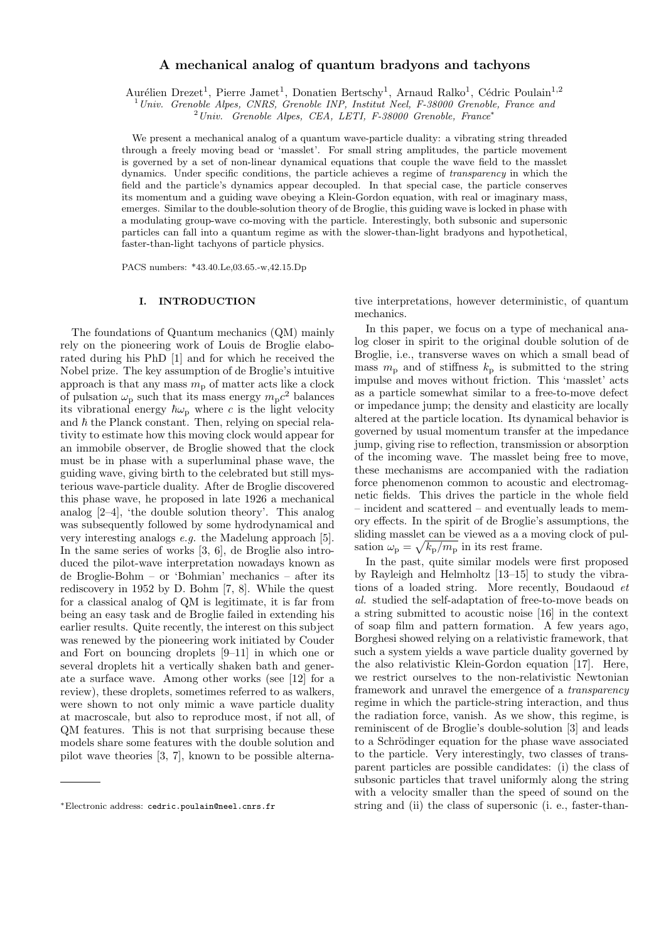# A mechanical analog of quantum bradyons and tachyons

Aurélien Drezet<sup>1</sup>, Pierre Jamet<sup>1</sup>, Donatien Bertschy<sup>1</sup>, Arnaud Ralko<sup>1</sup>, Cédric Poulain<sup>1,2</sup>

<sup>1</sup> Univ. Grenoble Alpes, CNRS, Grenoble INP, Institut Neel, F-38000 Grenoble, France and

 $^{2}$ Univ. Grenoble Alpes, CEA, LETI, F-38000 Grenoble, France\*

We present a mechanical analog of a quantum wave-particle duality: a vibrating string threaded through a freely moving bead or 'masslet'. For small string amplitudes, the particle movement is governed by a set of non-linear dynamical equations that couple the wave field to the masslet dynamics. Under specific conditions, the particle achieves a regime of transparency in which the field and the particle's dynamics appear decoupled. In that special case, the particle conserves its momentum and a guiding wave obeying a Klein-Gordon equation, with real or imaginary mass, emerges. Similar to the double-solution theory of de Broglie, this guiding wave is locked in phase with a modulating group-wave co-moving with the particle. Interestingly, both subsonic and supersonic particles can fall into a quantum regime as with the slower-than-light bradyons and hypothetical, faster-than-light tachyons of particle physics.

PACS numbers: \*43.40.Le,03.65.-w,42.15.Dp

### I. INTRODUCTION

The foundations of Quantum mechanics (QM) mainly rely on the pioneering work of Louis de Broglie elaborated during his PhD [1] and for which he received the Nobel prize. The key assumption of de Broglie's intuitive approach is that any mass  $m_{\rm p}$  of matter acts like a clock of pulsation  $\omega_{\rm p}$  such that its mass energy  $m_{\rm p}c^2$  balances its vibrational energy  $\hbar\omega_{\rm p}$  where c is the light velocity and  $\hbar$  the Planck constant. Then, relying on special relativity to estimate how this moving clock would appear for an immobile observer, de Broglie showed that the clock must be in phase with a superluminal phase wave, the guiding wave, giving birth to the celebrated but still mysterious wave-particle duality. After de Broglie discovered this phase wave, he proposed in late 1926 a mechanical analog [2–4], 'the double solution theory'. This analog was subsequently followed by some hydrodynamical and very interesting analogs e.g. the Madelung approach [5]. In the same series of works [3, 6], de Broglie also introduced the pilot-wave interpretation nowadays known as de Broglie-Bohm – or 'Bohmian' mechanics – after its rediscovery in 1952 by D. Bohm [7, 8]. While the quest for a classical analog of QM is legitimate, it is far from being an easy task and de Broglie failed in extending his earlier results. Quite recently, the interest on this subject was renewed by the pioneering work initiated by Couder and Fort on bouncing droplets [9–11] in which one or several droplets hit a vertically shaken bath and generate a surface wave. Among other works (see [12] for a review), these droplets, sometimes referred to as walkers, were shown to not only mimic a wave particle duality at macroscale, but also to reproduce most, if not all, of QM features. This is not that surprising because these models share some features with the double solution and pilot wave theories [3, 7], known to be possible alternative interpretations, however deterministic, of quantum mechanics.

In this paper, we focus on a type of mechanical analog closer in spirit to the original double solution of de Broglie, i.e., transverse waves on which a small bead of mass  $m_{\rm p}$  and of stiffness  $k_{\rm p}$  is submitted to the string impulse and moves without friction. This 'masslet' acts as a particle somewhat similar to a free-to-move defect or impedance jump; the density and elasticity are locally altered at the particle location. Its dynamical behavior is governed by usual momentum transfer at the impedance jump, giving rise to reflection, transmission or absorption of the incoming wave. The masslet being free to move, these mechanisms are accompanied with the radiation force phenomenon common to acoustic and electromagnetic fields. This drives the particle in the whole field – incident and scattered – and eventually leads to memory effects. In the spirit of de Broglie's assumptions, the sliding masslet can be viewed as a a moving clock of pulsation  $\omega_{\rm p} = \sqrt{k_{\rm p}/m_{\rm p}}$  in its rest frame.

In the past, quite similar models were first proposed by Rayleigh and Helmholtz [13–15] to study the vibrations of a loaded string. More recently, Boudaoud et al. studied the self-adaptation of free-to-move beads on a string submitted to acoustic noise [16] in the context of soap film and pattern formation. A few years ago, Borghesi showed relying on a relativistic framework, that such a system yields a wave particle duality governed by the also relativistic Klein-Gordon equation [17]. Here, we restrict ourselves to the non-relativistic Newtonian framework and unravel the emergence of a transparency regime in which the particle-string interaction, and thus the radiation force, vanish. As we show, this regime, is reminiscent of de Broglie's double-solution [3] and leads to a Schrödinger equation for the phase wave associated to the particle. Very interestingly, two classes of transparent particles are possible candidates: (i) the class of subsonic particles that travel uniformly along the string with a velocity smaller than the speed of sound on the string and (ii) the class of supersonic (i. e., faster-than-

<sup>∗</sup>Electronic address: cedric.poulain@neel.cnrs.fr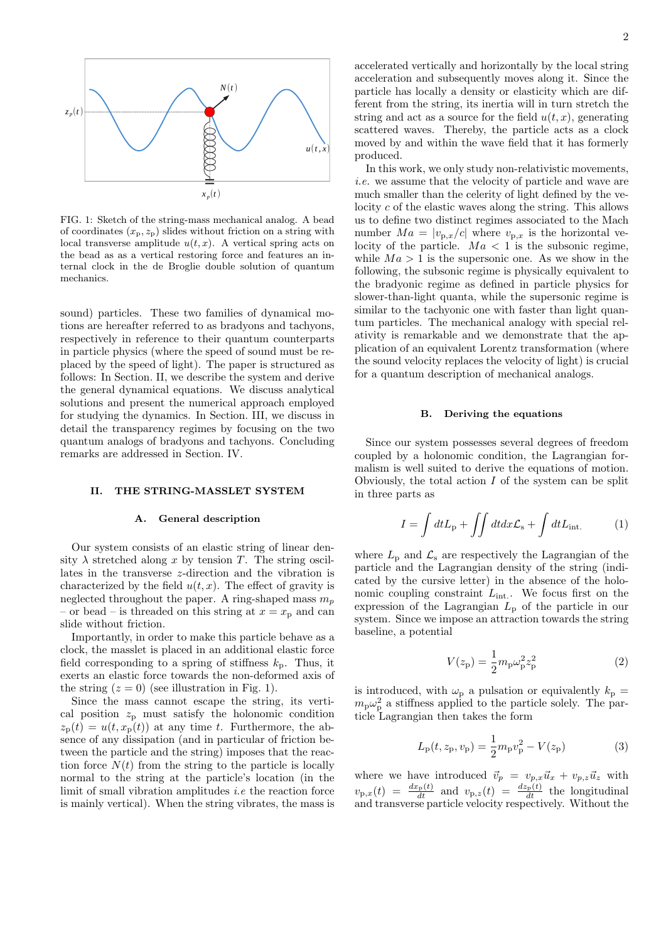

FIG. 1: Sketch of the string-mass mechanical analog. A bead of coordinates  $(x_p, z_p)$  slides without friction on a string with local transverse amplitude  $u(t, x)$ . A vertical spring acts on the bead as as a vertical restoring force and features an internal clock in the de Broglie double solution of quantum mechanics.

sound) particles. These two families of dynamical motions are hereafter referred to as bradyons and tachyons, respectively in reference to their quantum counterparts in particle physics (where the speed of sound must be replaced by the speed of light). The paper is structured as follows: In Section. II, we describe the system and derive the general dynamical equations. We discuss analytical solutions and present the numerical approach employed for studying the dynamics. In Section. III, we discuss in detail the transparency regimes by focusing on the two quantum analogs of bradyons and tachyons. Concluding remarks are addressed in Section. IV.

#### II. THE STRING-MASSLET SYSTEM

## A. General description

Our system consists of an elastic string of linear density  $\lambda$  stretched along x by tension T. The string oscillates in the transverse z-direction and the vibration is characterized by the field  $u(t, x)$ . The effect of gravity is neglected throughout the paper. A ring-shaped mass  $m_n$ – or bead – is threaded on this string at  $x = x_p$  and can slide without friction.

Importantly, in order to make this particle behave as a clock, the masslet is placed in an additional elastic force field corresponding to a spring of stiffness  $k_p$ . Thus, it exerts an elastic force towards the non-deformed axis of the string  $(z = 0)$  (see illustration in Fig. 1).

Since the mass cannot escape the string, its vertical position  $z_p$  must satisfy the holonomic condition  $z_{\rm p}(t) = u(t, x_{\rm p}(t))$  at any time t. Furthermore, the absence of any dissipation (and in particular of friction between the particle and the string) imposes that the reaction force  $N(t)$  from the string to the particle is locally normal to the string at the particle's location (in the limit of small vibration amplitudes i.e the reaction force is mainly vertical). When the string vibrates, the mass is

produced. In this work, we only study non-relativistic movements, i.e. we assume that the velocity of particle and wave are much smaller than the celerity of light defined by the velocity c of the elastic waves along the string. This allows us to define two distinct regimes associated to the Mach number  $Ma = |v_{p,x}/c|$  where  $v_{p,x}$  is the horizontal velocity of the particle.  $Ma < 1$  is the subsonic regime, while  $Ma > 1$  is the supersonic one. As we show in the following, the subsonic regime is physically equivalent to the bradyonic regime as defined in particle physics for slower-than-light quanta, while the supersonic regime is similar to the tachyonic one with faster than light quantum particles. The mechanical analogy with special relativity is remarkable and we demonstrate that the application of an equivalent Lorentz transformation (where the sound velocity replaces the velocity of light) is crucial for a quantum description of mechanical analogs.

#### B. Deriving the equations

Since our system possesses several degrees of freedom coupled by a holonomic condition, the Lagrangian formalism is well suited to derive the equations of motion. Obviously, the total action  $I$  of the system can be split in three parts as

$$
I = \int dt L_{\rm p} + \iint dt dx \mathcal{L}_{\rm s} + \int dt L_{\rm int.}
$$
 (1)

where  $L_p$  and  $\mathcal{L}_s$  are respectively the Lagrangian of the particle and the Lagrangian density of the string (indicated by the cursive letter) in the absence of the holonomic coupling constraint  $L_{\text{int}}$ . We focus first on the expression of the Lagrangian  $L_p$  of the particle in our system. Since we impose an attraction towards the string baseline, a potential

$$
V(z_{\rm p}) = \frac{1}{2} m_{\rm p} \omega_{\rm p}^2 z_{\rm p}^2 \tag{2}
$$

is introduced, with  $\omega_{\rm p}$  a pulsation or equivalently  $k_{\rm p}$  =  $m_{\rm p}\omega_{\rm p}^2$  a stiffness applied to the particle solely. The particle Lagrangian then takes the form

$$
L_{\rm p}(t, z_{\rm p}, v_{\rm p}) = \frac{1}{2}m_{\rm p}v_{\rm p}^2 - V(z_{\rm p})
$$
 (3)

where we have introduced  $\vec{v}_p = v_{p,x}\vec{u}_x + v_{p,z}\vec{u}_z$  with  $v_{\text{p},x}(t) = \frac{dx_{\text{p}}(t)}{dt}$  and  $v_{\text{p},z}(t) = \frac{dx_{\text{p}}(t)}{dt}$  the longitudinal and transverse particle velocity respectively. Without the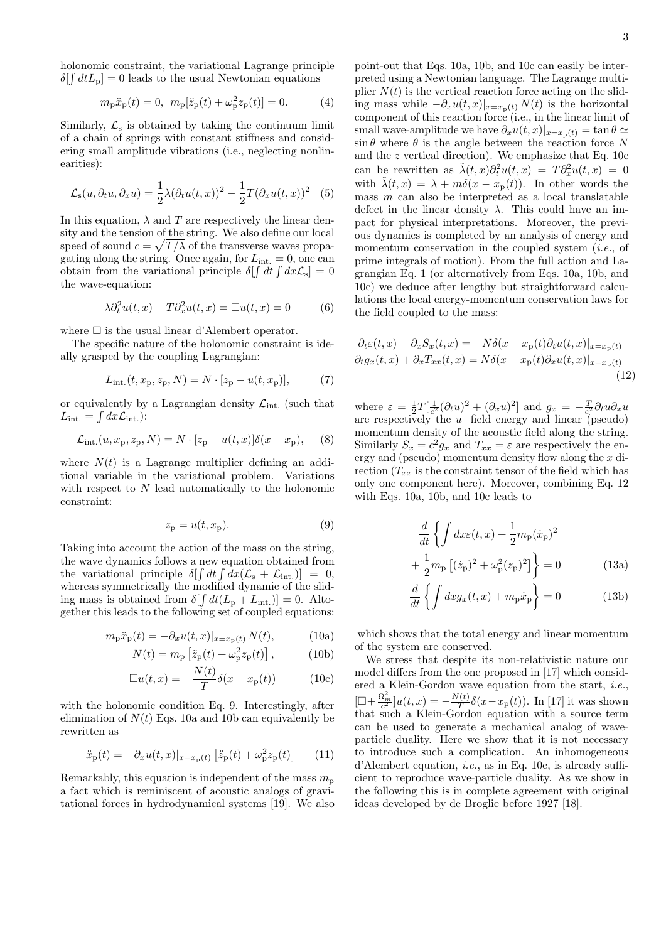holonomic constraint, the variational Lagrange principle  $\delta[\int dt L_{\rm p}] = 0$  leads to the usual Newtonian equations

$$
m_{\rm p}\ddot{x}_{\rm p}(t) = 0, \ m_{\rm p}[\ddot{z}_{\rm p}(t) + \omega_{\rm p}^2 z_{\rm p}(t)] = 0.
$$
 (4)

Similarly,  $\mathcal{L}_s$  is obtained by taking the continuum limit of a chain of springs with constant stiffness and considering small amplitude vibrations (i.e., neglecting nonlinearities):

$$
\mathcal{L}_{s}(u,\partial_{t}u,\partial_{x}u) = \frac{1}{2}\lambda(\partial_{t}u(t,x))^{2} - \frac{1}{2}T(\partial_{x}u(t,x))^{2} \quad (5)
$$

In this equation,  $\lambda$  and T are respectively the linear density and the tension of the string. We also define our local speed of sound  $c = \sqrt{T/\lambda}$  of the transverse waves propagating along the string. Once again, for  $L_{\text{int.}} = 0$ , one can obtain from the variational principle  $\delta[\int dt \int dx \mathcal{L}_s] = 0$ the wave-equation:

$$
\lambda \partial_t^2 u(t, x) - T \partial_x^2 u(t, x) = \Box u(t, x) = 0 \tag{6}
$$

where  $\square$  is the usual linear d'Alembert operator.

The specific nature of the holonomic constraint is ideally grasped by the coupling Lagrangian:

$$
L_{\rm int.}(t, x_{\rm p}, z_{\rm p}, N) = N \cdot [z_{\rm p} - u(t, x_{\rm p})],\tag{7}
$$

or equivalently by a Lagrangian density  $\mathcal{L}_{int.}$  (such that  $L_{\text{int.}} = \int dx \mathcal{L}_{\text{int.}}$ :

$$
\mathcal{L}_{\rm int.}(u, x_{\rm p}, z_{\rm p}, N) = N \cdot [z_{\rm p} - u(t, x)] \delta(x - x_{\rm p}), \quad (8)
$$

where  $N(t)$  is a Lagrange multiplier defining an additional variable in the variational problem. Variations with respect to N lead automatically to the holonomic constraint:

$$
z_{\mathbf{p}} = u(t, x_{\mathbf{p}}). \tag{9}
$$

Taking into account the action of the mass on the string, the wave dynamics follows a new equation obtained from the variational principle  $\delta[\int dt \int dx (\mathcal{L}_s + \mathcal{L}_{int.})] = 0$ , whereas symmetrically the modified dynamic of the sliding mass is obtained from  $\delta[\int dt (L_{\rm p} + L_{\rm int.})] = 0$ . Altogether this leads to the following set of coupled equations:

$$
m_{\mathbf{p}}\ddot{x}_{\mathbf{p}}(t) = -\partial_x u(t, x)|_{x=x_{\mathbf{p}}(t)} N(t), \tag{10a}
$$

$$
N(t) = m_{\rm p} \left[ \ddot{z}_{\rm p}(t) + \omega_{\rm p}^2 z_{\rm p}(t) \right],\tag{10b}
$$

$$
\Box u(t,x) = -\frac{N(t)}{T} \delta(x - x_{\rm p}(t)) \tag{10c}
$$

with the holonomic condition Eq. 9. Interestingly, after elimination of  $N(t)$  Eqs. 10a and 10b can equivalently be rewritten as

$$
\ddot{x}_{\rm p}(t) = -\partial_x u(t, x)|_{x = x_{\rm p}(t)} \left[ \ddot{z}_{\rm p}(t) + \omega_{\rm p}^2 z_{\rm p}(t) \right] \tag{11}
$$

Remarkably, this equation is independent of the mass  $m_p$ a fact which is reminiscent of acoustic analogs of gravitational forces in hydrodynamical systems [19]. We also

point-out that Eqs. 10a, 10b, and 10c can easily be interpreted using a Newtonian language. The Lagrange multiplier  $N(t)$  is the vertical reaction force acting on the sliding mass while  $-\partial_x u(t,x)|_{x=x_p(t)} N(t)$  is the horizontal component of this reaction force (i.e., in the linear limit of small wave-amplitude we have  $\partial_x u(t, x)|_{x=x_p(t)} = \tan \theta \simeq$  $\sin \theta$  where  $\theta$  is the angle between the reaction force N and the z vertical direction). We emphasize that Eq. 10c can be rewritten as  $\tilde{\lambda}(t,x)\partial_t^2 u(t,x) = T \partial_x^2 u(t,x) = 0$ with  $\tilde{\lambda}(t,x) = \lambda + m\delta(x - x_p(t))$ . In other words the mass  $m$  can also be interpreted as a local translatable defect in the linear density  $\lambda$ . This could have an impact for physical interpretations. Moreover, the previous dynamics is completed by an analysis of energy and momentum conservation in the coupled system (*i.e.*, of prime integrals of motion). From the full action and Lagrangian Eq. 1 (or alternatively from Eqs. 10a, 10b, and 10c) we deduce after lengthy but straightforward calculations the local energy-momentum conservation laws for the field coupled to the mass:

$$
\partial_t \varepsilon(t, x) + \partial_x S_x(t, x) = -N\delta(x - x_\text{p}(t)\partial_t u(t, x)|_{x = x_\text{p}(t)}
$$

$$
\partial_t g_x(t, x) + \partial_x T_{xx}(t, x) = N\delta(x - x_\text{p}(t)\partial_x u(t, x)|_{x = x_\text{p}(t)}
$$
(12)

where  $\varepsilon = \frac{1}{2}T[\frac{1}{c^2}(\partial_t u)^2 + (\partial_x u)^2]$  and  $g_x = -\frac{T}{c^2}\partial_t u \partial_x u$ are respectively the u−field energy and linear (pseudo) momentum density of the acoustic field along the string. Similarly  $S_x = c^2 g_x$  and  $T_{xx} = \varepsilon$  are respectively the energy and (pseudo) momentum density flow along the x direction  $(T_{xx}$  is the constraint tensor of the field which has only one component here). Moreover, combining Eq. 12 with Eqs. 10a, 10b, and 10c leads to

$$
\frac{d}{dt} \left\{ \int dx \varepsilon(t, x) + \frac{1}{2} m_{\rm p} (\dot{x}_{\rm p})^2 + \frac{1}{2} m_{\rm p} [(\dot{z}_{\rm p})^2 + \omega_{\rm p}^2 (z_{\rm p})^2] \right\} = 0 \tag{13a}
$$

$$
\frac{d}{dt}\left\{\int dx g_x(t,x) + m_\text{p}\dot{x}_\text{p}\right\} = 0\tag{13b}
$$

which shows that the total energy and linear momentum of the system are conserved.

We stress that despite its non-relativistic nature our model differs from the one proposed in [17] which considered a Klein-Gordon wave equation from the start, i.e.,  $[\Box + \frac{\Omega_m^2}{c^2}]u(t,x) = -\frac{N(t)}{T}$  $\frac{f(t)}{T} \delta(x-x_{\rm p}(t))$ . In [17] it was shown that such a Klein-Gordon equation with a source term can be used to generate a mechanical analog of waveparticle duality. Here we show that it is not necessary to introduce such a complication. An inhomogeneous d'Alembert equation, i.e., as in Eq. 10c, is already sufficient to reproduce wave-particle duality. As we show in the following this is in complete agreement with original ideas developed by de Broglie before 1927 [18].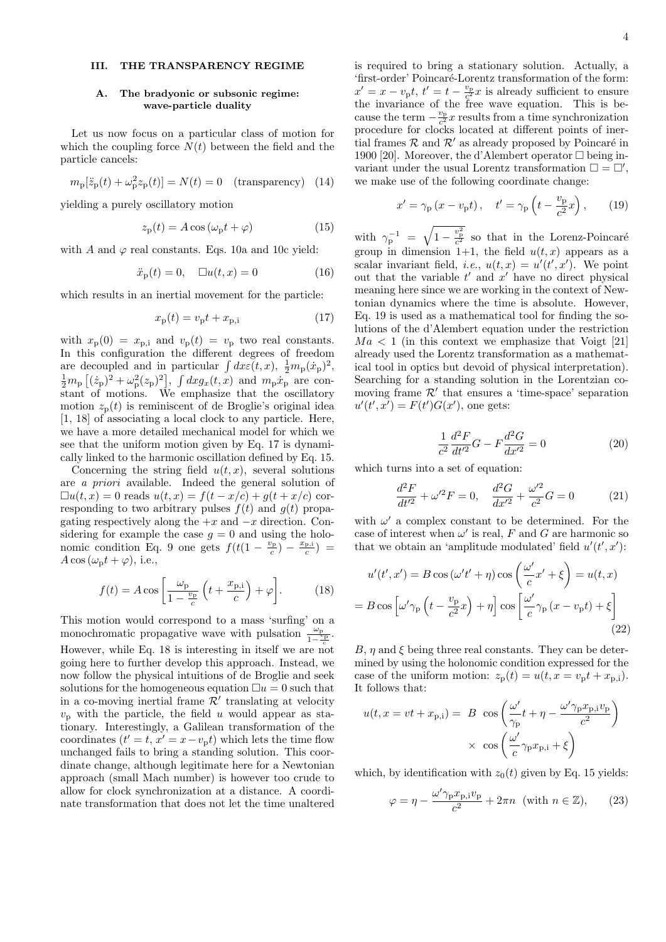## III. THE TRANSPARENCY REGIME

## A. The bradyonic or subsonic regime: wave-particle duality

Let us now focus on a particular class of motion for which the coupling force  $N(t)$  between the field and the particle cancels:

$$
m_{\rm p}[\ddot{z}_{\rm p}(t) + \omega_{\rm p}^2 z_{\rm p}(t)] = N(t) = 0 \quad \text{(transparency)} \quad (14)
$$

yielding a purely oscillatory motion

$$
z_{\rm p}(t) = A\cos\left(\omega_{\rm p}t + \varphi\right) \tag{15}
$$

with A and  $\varphi$  real constants. Eqs. 10a and 10c yield:

$$
\ddot{x}_{\mathbf{p}}(t) = 0, \quad \Box u(t, x) = 0 \tag{16}
$$

which results in an inertial movement for the particle:

$$
x_{\mathbf{p}}(t) = v_{\mathbf{p}}t + x_{\mathbf{p},i} \tag{17}
$$

with  $x_p(0) = x_{p,i}$  and  $v_p(t) = v_p$  two real constants. In this configuration the different degrees of freedom are decoupled and in particular  $\int dx \epsilon(t, x)$ ,  $\frac{1}{2}m_{\rm p}(\dot{x}_{\rm p})^2$ ,  $\frac{1}{2}m_{\rm p}\left[({\dot z}_{\rm p})^2+\omega_{\rm p}^2(z_{\rm p})^2\right]$ ,  $\int dxg_x(t,x)$  and  $m_{\rm p}{\dot x}_{\rm p}$  are constant of motions. We emphasize that the oscillatory motion  $z_p(t)$  is reminiscent of de Broglie's original idea [1, 18] of associating a local clock to any particle. Here, we have a more detailed mechanical model for which we see that the uniform motion given by Eq. 17 is dynamically linked to the harmonic oscillation defined by Eq. 15.

Concerning the string field  $u(t, x)$ , several solutions are a priori available. Indeed the general solution of  $\Box u(t, x) = 0$  reads  $u(t, x) = f(t - x/c) + g(t + x/c)$  corresponding to two arbitrary pulses  $f(t)$  and  $g(t)$  propagating respectively along the  $+x$  and  $-x$  direction. Considering for example the case  $g = 0$  and using the holonomic condition Eq. 9 one gets  $f(t(1 - \frac{v_{\rm p}}{c}) - \frac{x_{\rm p,i}}{c})$  $A \cos (\omega_{\rm p} t + \varphi)$ , i.e.,

$$
f(t) = A \cos\left[\frac{\omega_{\rm p}}{1 - \frac{v_{\rm p}}{c}} \left(t + \frac{x_{\rm p,i}}{c}\right) + \varphi\right].
$$
 (18)

This motion would correspond to a mass 'surfing' on a monochromatic propagative wave with pulsation  $\frac{\omega_p}{1-\frac{\omega_p}{\sigma}}$ . However, while Eq. 18 is interesting in itself we are not going here to further develop this approach. Instead, we now follow the physical intuitions of de Broglie and seek solutions for the homogeneous equation  $\Box u = 0$  such that in a co-moving inertial frame  $\mathcal{R}'$  translating at velocity  $v_p$  with the particle, the field u would appear as stationary. Interestingly, a Galilean transformation of the coordinates  $(t' = t, x' = x - v_p t)$  which lets the time flow unchanged fails to bring a standing solution. This coordinate change, although legitimate here for a Newtonian approach (small Mach number) is however too crude to allow for clock synchronization at a distance. A coordinate transformation that does not let the time unaltered

is required to bring a stationary solution. Actually, a 'first-order' Poincaré-Lorentz transformation of the form:  $x' = x - v_p t$ ,  $t' = t - \frac{v_p}{c^2} x$  is already sufficient to ensure the invariance of the free wave equation. This is because the term  $-\frac{v_{\rm p}}{c^2}x$  results from a time synchronization procedure for clocks located at different points of inertial frames  $\mathcal R$  and  $\mathcal R'$  as already proposed by Poincaré in 1900 [20]. Moreover, the d'Alembert operator  $\Box$  being invariant under the usual Lorentz transformation  $\square = \square'$ , we make use of the following coordinate change:

$$
x' = \gamma_{\rm p} \left( x - v_{\rm p} t \right), \quad t' = \gamma_{\rm p} \left( t - \frac{v_{\rm p}}{c^2} x \right), \tag{19}
$$

with  $\gamma_{\rm p}^{-1} = \sqrt{1 - \frac{v_{\rm p}^2}{c^2}}$  so that in the Lorenz-Poincaré group in dimension 1+1, the field  $u(t, x)$  appears as a scalar invariant field, *i.e.*,  $u(t, x) = u'(t', x')$ . We point out that the variable  $t'$  and  $x'$  have no direct physical meaning here since we are working in the context of Newtonian dynamics where the time is absolute. However, Eq. 19 is used as a mathematical tool for finding the solutions of the d'Alembert equation under the restriction  $Ma < 1$  (in this context we emphasize that Voigt [21] already used the Lorentz transformation as a mathematical tool in optics but devoid of physical interpretation). Searching for a standing solution in the Lorentzian comoving frame  $\mathcal{R}'$  that ensures a 'time-space' separation  $u'(t',x') = F(t')G(x')$ , one gets:

$$
\frac{1}{c^2} \frac{d^2 F}{dt'^2} G - F \frac{d^2 G}{dx'^2} = 0
$$
\n(20)

which turns into a set of equation:

$$
\frac{d^2F}{dt'^2} + \omega'^2 F = 0, \quad \frac{d^2G}{dx'^2} + \frac{\omega'^2}{c^2} G = 0 \tag{21}
$$

with  $\omega'$  a complex constant to be determined. For the case of interest when  $\omega'$  is real, F and G are harmonic so that we obtain an 'amplitude modulated' field  $u'(t', x')$ :

$$
u'(t', x') = B \cos(\omega' t' + \eta) \cos\left(\frac{\omega'}{c} x' + \xi\right) = u(t, x)
$$

$$
= B \cos\left[\omega' \gamma_{\rm p}\left(t - \frac{v_{\rm p}}{c^2}x\right) + \eta\right] \cos\left[\frac{\omega'}{c} \gamma_{\rm p}\left(x - v_{\rm p}t\right) + \xi\right]
$$
(22)

B,  $\eta$  and  $\xi$  being three real constants. They can be determined by using the holonomic condition expressed for the case of the uniform motion:  $z_p(t) = u(t, x = v_p t + x_{p,i}).$ It follows that:

$$
u(t, x = vt + x_{p,i}) = B \cos\left(\frac{\omega'}{\gamma_p}t + \eta - \frac{\omega'\gamma_p x_{p,i}v_p}{c^2}\right)
$$

$$
\times \cos\left(\frac{\omega'}{c}\gamma_p x_{p,i} + \xi\right)
$$

which, by identification with  $z_0(t)$  given by Eq. 15 yields:

$$
\varphi = \eta - \frac{\omega' \gamma_{\rm p} x_{\rm p,i} v_{\rm p}}{c^2} + 2\pi n \text{ (with } n \in \mathbb{Z}), \qquad (23)
$$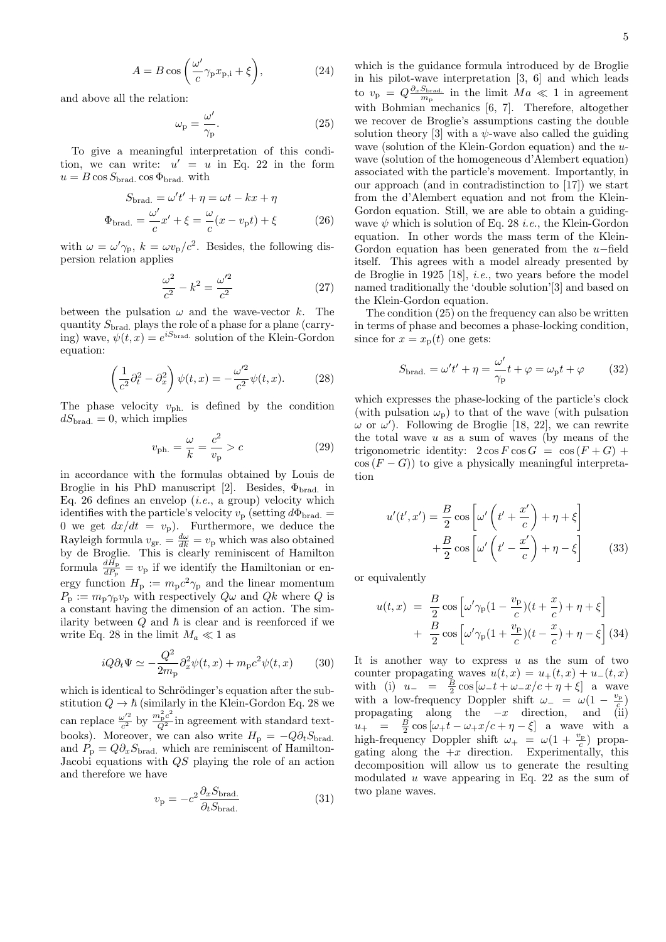5

$$
A = B\cos\left(\frac{\omega'}{c}\gamma_{\rm p}x_{\rm p,i} + \xi\right),\tag{24}
$$

and above all the relation:

$$
\omega_{\rm p} = \frac{\omega'}{\gamma_{\rm p}}.\tag{25}
$$

To give a meaningful interpretation of this condition, we can write:  $u' = u$  in Eq. 22 in the form  $u = B \cos S_{\text{brad}}$ .  $\cos \Phi_{\text{brad}}$ . with

$$
S_{\text{brad.}} = \omega' t' + \eta = \omega t - kx + \eta
$$
  

$$
\Phi_{\text{brad.}} = \frac{\omega'}{c} x' + \xi = \frac{\omega}{c} (x - v_{\text{p}} t) + \xi
$$
 (26)

with  $\omega = \omega' \gamma_{\rm p}$ ,  $k = \omega v_{\rm p}/c^2$ . Besides, the following dispersion relation applies

$$
\frac{\omega^2}{c^2} - k^2 = \frac{\omega'^2}{c^2}
$$
 (27)

between the pulsation  $\omega$  and the wave-vector k. The quantity  $S_{\text{brad}}$  plays the role of a phase for a plane (carrying) wave,  $\psi(t,x) = e^{iS_{\text{brad.}}}$  solution of the Klein-Gordon equation:

$$
\left(\frac{1}{c^2}\partial_t^2 - \partial_x^2\right)\psi(t,x) = -\frac{\omega'^2}{c^2}\psi(t,x). \tag{28}
$$

The phase velocity  $v_{\rm ph.}$  is defined by the condition  $dS_{\text{brad.}} = 0$ , which implies

$$
v_{\rm ph.} = \frac{\omega}{k} = \frac{c^2}{v_{\rm p}} > c \tag{29}
$$

in accordance with the formulas obtained by Louis de Broglie in his PhD manuscript [2]. Besides,  $\Phi_{\text{brad}}$  in Eq. 26 defines an envelop  $(i.e., a group)$  velocity which identifies with the particle's velocity  $v_{\rm p}$  (setting  $d\Phi_{\rm brad.} =$ 0 we get  $dx/dt = v_p$ ). Furthermore, we deduce the Rayleigh formula  $v_{\text{gr.}} = \frac{d\omega}{dk} = v_{\text{p}}$  which was also obtained by de Broglie. This is clearly reminiscent of Hamilton formula  $\frac{dH_{\rm p}}{dP_{\rm p}}=v_{\rm p}$  if we identify the Hamiltonian or energy function  $H_{\rm p} := m_{\rm p} c^2 \gamma_{\rm p}$  and the linear momentum  $P_p := m_p \gamma_p v_p$  with respectively  $Q\omega$  and  $Qk$  where Q is a constant having the dimension of an action. The similarity between  $Q$  and  $\hbar$  is clear and is reenforced if we write Eq. 28 in the limit  $M_a \ll 1$  as

$$
iQ\partial_t\Psi \simeq -\frac{Q^2}{2m_{\rm p}}\partial_x^2\psi(t,x) + m_{\rm p}c^2\psi(t,x) \qquad (30)
$$

which is identical to Schrödinger's equation after the substitution  $Q \to \hbar$  (similarly in the Klein-Gordon Eq. 28 we can replace  $\frac{\omega'^2}{c^2}$  $\frac{\omega'^2}{c^2}$  by  $\frac{m_p^2 c^2}{Q^2}$  in agreement with standard textbooks). Moreover, we can also write  $H_{\rm p} = -Q \partial_t S_{\rm brad}$ . and  $P_{\rm p} = Q \partial_x S_{\rm brad.}$  which are reminiscent of Hamilton-Jacobi equations with QS playing the role of an action and therefore we have

$$
v_{\rm p} = -c^2 \frac{\partial_x S_{\rm brad.}}{\partial_t S_{\rm brad.}}\tag{31}
$$

which is the guidance formula introduced by de Broglie in his pilot-wave interpretation [3, 6] and which leads to  $v_{\rm p} = Q \frac{\partial_x S_{\text{brad}}}{m_{\rm p}}$  in the limit  $Ma \ll 1$  in agreement with Bohmian mechanics [6, 7]. Therefore, altogether we recover de Broglie's assumptions casting the double solution theory [3] with a  $\psi$ -wave also called the guiding wave (solution of the Klein-Gordon equation) and the uwave (solution of the homogeneous d'Alembert equation) associated with the particle's movement. Importantly, in our approach (and in contradistinction to [17]) we start from the d'Alembert equation and not from the Klein-Gordon equation. Still, we are able to obtain a guidingwave  $\psi$  which is solution of Eq. 28 *i.e.*, the Klein-Gordon equation. In other words the mass term of the Klein-Gordon equation has been generated from the  $u$ -field itself. This agrees with a model already presented by de Broglie in 1925 [18], i.e., two years before the model named traditionally the 'double solution'[3] and based on the Klein-Gordon equation.

The condition (25) on the frequency can also be written in terms of phase and becomes a phase-locking condition, since for  $x = x_p(t)$  one gets:

$$
S_{\text{brad.}} = \omega' t' + \eta = \frac{\omega'}{\gamma_{\text{p}}} t + \varphi = \omega_{\text{p}} t + \varphi \qquad (32)
$$

which expresses the phase-locking of the particle's clock (with pulsation  $\omega_{\rm p}$ ) to that of the wave (with pulsation  $\omega$  or  $\omega'$ ). Following de Broglie [18, 22], we can rewrite the total wave  $u$  as a sum of waves (by means of the trigonometric identity:  $2 \cos F \cos G = \cos (F + G) +$  $\cos(F - G)$  to give a physically meaningful interpretation

$$
u'(t',x') = \frac{B}{2}\cos\left[\omega'\left(t' + \frac{x'}{c}\right) + \eta + \xi\right] + \frac{B}{2}\cos\left[\omega'\left(t' - \frac{x'}{c}\right) + \eta - \xi\right]
$$
(33)

or equivalently

$$
u(t,x) = \frac{B}{2}\cos\left[\omega'\gamma_{\rm p}(1-\frac{v_{\rm p}}{c})(t+\frac{x}{c}) + \eta + \xi\right] + \frac{B}{2}\cos\left[\omega'\gamma_{\rm p}(1+\frac{v_{\rm p}}{c})(t-\frac{x}{c}) + \eta - \xi\right]
$$
(34)

It is another way to express  $u$  as the sum of two counter propagating waves  $u(t, x) = u_+(t, x) + u_-(t, x)$ with (i)  $u_{-} = \frac{B}{2} \cos \left[\omega_{-} t + \omega_{-} x/c + \eta + \xi\right]$  a wave with a low-frequency Doppler shift  $\omega_- = \omega(1 - \frac{v_{\rm p}}{c})$ propagating along the  $-x$  direction, and (ii)  $u_{+}$  =  $\frac{B}{2} \cos \left[\omega_{+} t - \omega_{+} x/c + \eta - \xi\right]$  a wave with a high-frequency Doppler shift  $\omega_+ = \omega(1 + \frac{v_{\rm p}}{c})$  propagating along the  $+x$  direction. Experimentally, this decomposition will allow us to generate the resulting modulated u wave appearing in Eq. 22 as the sum of two plane waves.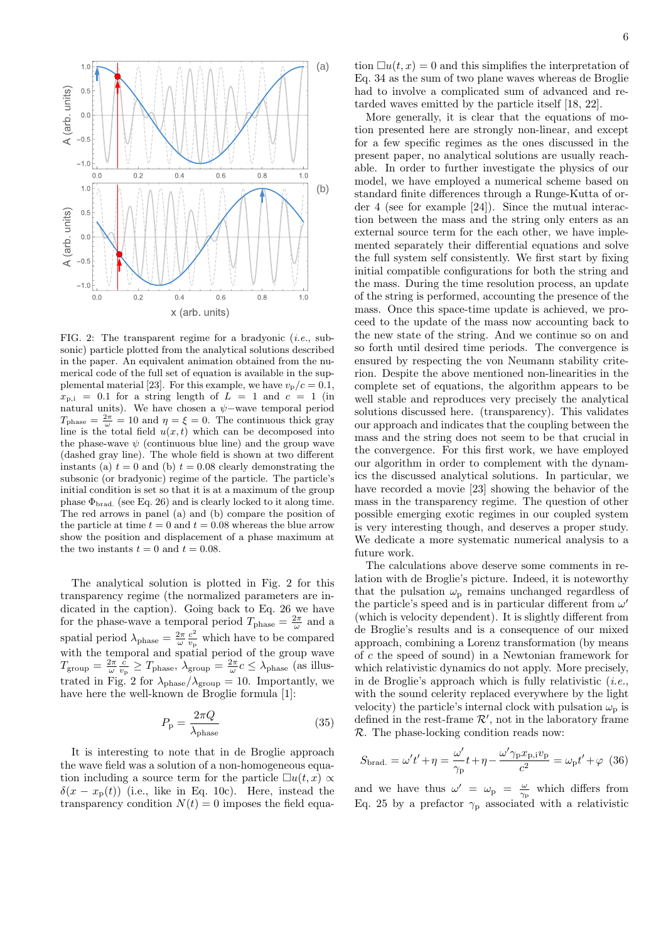

FIG. 2: The transparent regime for a bradyonic  $(i.e., sub$ sonic) particle plotted from the analytical solutions described in the paper. An equivalent animation obtained from the numerical code of the full set of equation is available in the supplemental material [23]. For this example, we have  $v_p/c = 0.1$ ,  $x_{p,i}$  = 0.1 for a string length of  $L = 1$  and  $c = 1$  (in natural units). We have chosen a  $\psi$ -wave temporal period  $T_{\text{phase}} = \frac{2\pi}{\omega} = 10$  and  $\eta = \xi = 0$ . The continuous thick gray line is the total field  $u(x, t)$  which can be decomposed into the phase-wave  $\psi$  (continuous blue line) and the group wave (dashed gray line). The whole field is shown at two different instants (a)  $t = 0$  and (b)  $t = 0.08$  clearly demonstrating the subsonic (or bradyonic) regime of the particle. The particle's initial condition is set so that it is at a maximum of the group phase  $\Phi_{\text{brad.}}$  (see Eq. 26) and is clearly locked to it along time. The red arrows in panel (a) and (b) compare the position of the particle at time  $t = 0$  and  $t = 0.08$  whereas the blue arrow show the position and displacement of a phase maximum at the two instants  $t = 0$  and  $t = 0.08$ .

The analytical solution is plotted in Fig. 2 for this transparency regime (the normalized parameters are indicated in the caption). Going back to Eq. 26 we have for the phase-wave a temporal period  $T_{\text{phase}} = \frac{2\pi}{\omega}$  and a spatial period  $\lambda_{\text{phase}} = \frac{2\pi}{\omega} \frac{c^2}{v_{\text{p}}}$  $\frac{c^2}{v_{\rm p}}$  which have to be compared with the temporal and spatial period of the group wave  $T_{\text{group}} = \frac{2\pi}{\omega} \frac{c}{v_{\text{p}}} \geq T_{\text{phase}}$ ,  $\lambda_{\text{group}} = \frac{2\pi}{\omega} c \leq \lambda_{\text{phase}}$  (as illustrated in Fig. 2 for  $\lambda_{\text{phase}}/\lambda_{\text{group}} = 10$ . Importantly, we have here the well-known de Broglie formula [1]:

$$
P_{\rm p} = \frac{2\pi Q}{\lambda_{\rm phase}}\tag{35}
$$

It is interesting to note that in de Broglie approach the wave field was a solution of a non-homogeneous equation including a source term for the particle  $\Box u(t, x) \propto$  $\delta(x - x_p(t))$  (i.e., like in Eq. 10c). Here, instead the transparency condition  $N(t) = 0$  imposes the field equation  $\Box u(t, x) = 0$  and this simplifies the interpretation of Eq. 34 as the sum of two plane waves whereas de Broglie had to involve a complicated sum of advanced and retarded waves emitted by the particle itself [18, 22].

More generally, it is clear that the equations of motion presented here are strongly non-linear, and except for a few specific regimes as the ones discussed in the present paper, no analytical solutions are usually reachable. In order to further investigate the physics of our model, we have employed a numerical scheme based on standard finite differences through a Runge-Kutta of order 4 (see for example [24]). Since the mutual interaction between the mass and the string only enters as an external source term for the each other, we have implemented separately their differential equations and solve the full system self consistently. We first start by fixing initial compatible configurations for both the string and the mass. During the time resolution process, an update of the string is performed, accounting the presence of the mass. Once this space-time update is achieved, we proceed to the update of the mass now accounting back to the new state of the string. And we continue so on and so forth until desired time periods. The convergence is ensured by respecting the von Neumann stability criterion. Despite the above mentioned non-linearities in the complete set of equations, the algorithm appears to be well stable and reproduces very precisely the analytical solutions discussed here. (transparency). This validates our approach and indicates that the coupling between the mass and the string does not seem to be that crucial in the convergence. For this first work, we have employed our algorithm in order to complement with the dynamics the discussed analytical solutions. In particular, we have recorded a movie [23] showing the behavior of the mass in the transparency regime. The question of other possible emerging exotic regimes in our coupled system is very interesting though, and deserves a proper study. We dedicate a more systematic numerical analysis to a future work.

The calculations above deserve some comments in relation with de Broglie's picture. Indeed, it is noteworthy that the pulsation  $\omega_{\rm p}$  remains unchanged regardless of the particle's speed and is in particular different from  $\omega'$ (which is velocity dependent). It is slightly different from de Broglie's results and is a consequence of our mixed approach, combining a Lorenz transformation (by means of c the speed of sound) in a Newtonian framework for which relativistic dynamics do not apply. More precisely, in de Broglie's approach which is fully relativistic  $(i.e.,$ with the sound celerity replaced everywhere by the light velocity) the particle's internal clock with pulsation  $\omega_{\rm p}$  is defined in the rest-frame  $\mathcal{R}'$ , not in the laboratory frame R. The phase-locking condition reads now:

$$
S_{\text{brad.}} = \omega' t' + \eta = \frac{\omega'}{\gamma_{\text{p}}} t + \eta - \frac{\omega' \gamma_{\text{p}} x_{\text{p,i}} v_{\text{p}}}{c^2} = \omega_{\text{p}} t' + \varphi \quad (36)
$$

and we have thus  $\omega' = \omega_{\rm p} = \frac{\omega}{\gamma_{\rm p}}$  which differs from Eq. 25 by a prefactor  $\gamma_{\rm p}$  associated with a relativistic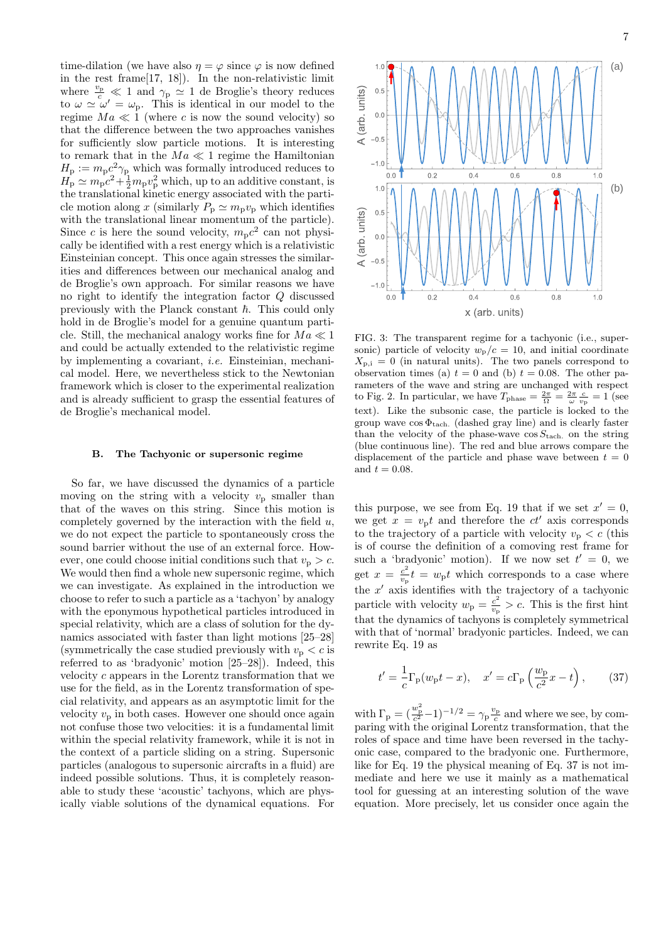time-dilation (we have also  $\eta = \varphi$  since  $\varphi$  is now defined in the rest frame[17, 18]). In the non-relativistic limit where  $\frac{v_{\rm p}}{c} \ll 1$  and  $\gamma_{\rm p} \simeq 1$  de Broglie's theory reduces to  $\omega \simeq \omega' = \omega_{\rm p}$ . This is identical in our model to the regime  $Ma \ll 1$  (where c is now the sound velocity) so that the difference between the two approaches vanishes for sufficiently slow particle motions. It is interesting to remark that in the  $Ma \ll 1$  regime the Hamiltonian  $H_{\rm p} := m_{\rm p} c^2 \gamma_{\rm p}$  which was formally introduced reduces to  $H_{\rm p} \simeq m_{\rm p}c^2 + \frac{1}{2}m_{\rm p}v_{\rm p}^2$  which, up to an additive constant, is the translational kinetic energy associated with the particle motion along x (similarly  $P_p \simeq m_p v_p$  which identifies with the translational linear momentum of the particle). Since c is here the sound velocity,  $m_p c^2$  can not physically be identified with a rest energy which is a relativistic Einsteinian concept. This once again stresses the similarities and differences between our mechanical analog and de Broglie's own approach. For similar reasons we have no right to identify the integration factor Q discussed previously with the Planck constant  $\hbar$ . This could only hold in de Broglie's model for a genuine quantum particle. Still, the mechanical analogy works fine for  $Ma \ll 1$ and could be actually extended to the relativistic regime by implementing a covariant, i.e. Einsteinian, mechanical model. Here, we nevertheless stick to the Newtonian framework which is closer to the experimental realization and is already sufficient to grasp the essential features of de Broglie's mechanical model.

#### B. The Tachyonic or supersonic regime

So far, we have discussed the dynamics of a particle moving on the string with a velocity  $v_p$  smaller than that of the waves on this string. Since this motion is completely governed by the interaction with the field  $u$ , we do not expect the particle to spontaneously cross the sound barrier without the use of an external force. However, one could choose initial conditions such that  $v_p > c$ . We would then find a whole new supersonic regime, which we can investigate. As explained in the introduction we choose to refer to such a particle as a 'tachyon' by analogy with the eponymous hypothetical particles introduced in special relativity, which are a class of solution for the dynamics associated with faster than light motions [25–28] (symmetrically the case studied previously with  $v_p < c$  is referred to as 'bradyonic' motion [25–28]). Indeed, this velocity c appears in the Lorentz transformation that we use for the field, as in the Lorentz transformation of special relativity, and appears as an asymptotic limit for the velocity  $v_p$  in both cases. However one should once again not confuse those two velocities: it is a fundamental limit within the special relativity framework, while it is not in the context of a particle sliding on a string. Supersonic particles (analogous to supersonic aircrafts in a fluid) are indeed possible solutions. Thus, it is completely reasonable to study these 'acoustic' tachyons, which are physically viable solutions of the dynamical equations. For



FIG. 3: The transparent regime for a tachyonic (i.e., supersonic) particle of velocity  $w_p/c = 10$ , and initial coordinate  $X_{p,i} = 0$  (in natural units). The two panels correspond to observation times (a)  $t = 0$  and (b)  $t = 0.08$ . The other parameters of the wave and string are unchanged with respect to Fig. 2. In particular, we have  $T_{\text{phase}} = \frac{2\pi}{\Omega} = \frac{2\pi}{\omega} \frac{c}{v_{\text{p}}} = 1$  (see text). Like the subsonic case, the particle is locked to the group wave  $\cos \Phi_{\text{tach.}}$  (dashed gray line) and is clearly faster than the velocity of the phase-wave  $\cos S_{\text{tach}}$  on the string (blue continuous line). The red and blue arrows compare the displacement of the particle and phase wave between  $t = 0$ and  $t = 0.08$ .

this purpose, we see from Eq. 19 that if we set  $x' = 0$ , we get  $x = v_p t$  and therefore the  $ct'$  axis corresponds to the trajectory of a particle with velocity  $v_p < c$  (this is of course the definition of a comoving rest frame for such a 'bradyonic' motion). If we now set  $t' = 0$ , we get  $x = \frac{c^2}{v}$  $\frac{c^2}{v_p}t = w_p t$  which corresponds to a case where the  $x'$  axis identifies with the trajectory of a tachyonic particle with velocity  $w_{\rm p} = \frac{c^2}{v_{\rm r}}$  $\frac{c^2}{v_{\rm p}} > c$ . This is the first hint that the dynamics of tachyons is completely symmetrical with that of 'normal' bradyonic particles. Indeed, we can rewrite Eq. 19 as

$$
t' = \frac{1}{c} \Gamma_{\mathbf{p}}(w_{\mathbf{p}}t - x), \quad x' = c \Gamma_{\mathbf{p}}\left(\frac{w_{\mathbf{p}}}{c^2}x - t\right), \tag{37}
$$

with  $\Gamma_{\rm p} = \left(\frac{w_{\rm p}^2}{c^2} - 1\right)^{-1/2} = \gamma_{\rm p} \frac{v_{\rm p}}{c}$  and where we see, by comparing with the original Lorentz transformation, that the roles of space and time have been reversed in the tachyonic case, compared to the bradyonic one. Furthermore, like for Eq. 19 the physical meaning of Eq. 37 is not immediate and here we use it mainly as a mathematical tool for guessing at an interesting solution of the wave equation. More precisely, let us consider once again the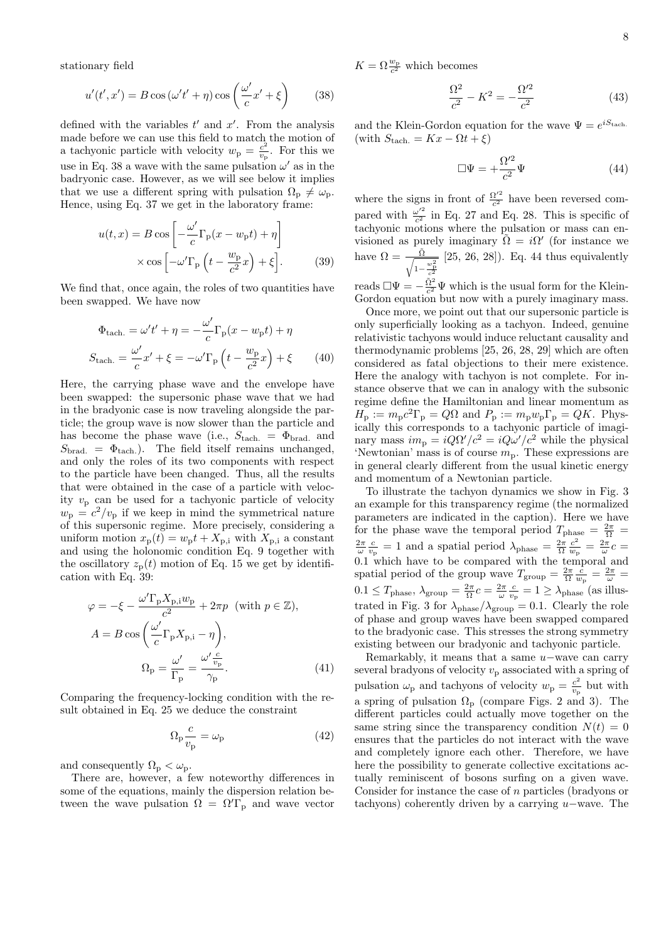stationary field

$$
u'(t',x') = B\cos\left(\omega't' + \eta\right)\cos\left(\frac{\omega'}{c}x' + \xi\right) \tag{38}
$$

defined with the variables  $t'$  and  $x'$ . From the analysis made before we can use this field to match the motion of a tachyonic particle with velocity  $w_{\rm p} = \frac{c^2}{v_{\rm p}}$  $\frac{c^2}{v_{\rm p}}$ . For this we use in Eq. 38 a wave with the same pulsation  $\omega'$  as in the badryonic case. However, as we will see below it implies that we use a different spring with pulsation  $\Omega_{p} \neq \omega_{p}$ . Hence, using Eq. 37 we get in the laboratory frame:

$$
u(t,x) = B \cos\left[-\frac{\omega'}{c}\Gamma_{\rm p}(x-w_{\rm p}t) + \eta\right]
$$

$$
\times \cos\left[-\omega'\Gamma_{\rm p}\left(t - \frac{w_{\rm p}}{c^2}x\right) + \xi\right].
$$
 (39)

We find that, once again, the roles of two quantities have been swapped. We have now

$$
\Phi_{\text{tach.}} = \omega' t' + \eta = -\frac{\omega'}{c} \Gamma_{\text{p}} (x - w_{\text{p}} t) + \eta
$$

$$
S_{\text{tach.}} = \frac{\omega'}{c} x' + \xi = -\omega' \Gamma_{\text{p}} \left( t - \frac{w_{\text{p}}}{c^2} x \right) + \xi \qquad (40)
$$

Here, the carrying phase wave and the envelope have been swapped: the supersonic phase wave that we had in the bradyonic case is now traveling alongside the particle; the group wave is now slower than the particle and has become the phase wave (i.e.,  $S_{\text{tach.}} = \Phi_{\text{brad.}}$  and  $S_{\text{brad.}} = \Phi_{\text{tach.}}$ . The field itself remains unchanged, and only the roles of its two components with respect to the particle have been changed. Thus, all the results that were obtained in the case of a particle with velocity  $v_p$  can be used for a tachyonic particle of velocity  $w_{\rm p} = c^2/v_{\rm p}$  if we keep in mind the symmetrical nature of this supersonic regime. More precisely, considering a uniform motion  $x_p(t) = w_p t + X_{p,i}$  with  $X_{p,i}$  a constant and using the holonomic condition Eq. 9 together with the oscillatory  $z_p(t)$  motion of Eq. 15 we get by identification with Eq. 39:

$$
\varphi = -\xi - \frac{\omega' \Gamma_{\rm p} X_{\rm p,i} w_{\rm p}}{c^2} + 2\pi p \quad \text{(with } p \in \mathbb{Z}),
$$
\n
$$
A = B \cos\left(\frac{\omega'}{c} \Gamma_{\rm p} X_{\rm p,i} - \eta\right),
$$
\n
$$
\Omega_{\rm p} = \frac{\omega'}{\Gamma_{\rm p}} = \frac{\omega' \frac{c}{v_{\rm p}}}{\gamma_{\rm p}}.
$$
\n(41)

Comparing the frequency-locking condition with the result obtained in Eq. 25 we deduce the constraint

$$
\Omega_{\rm p} \frac{c}{v_{\rm p}} = \omega_{\rm p} \tag{42}
$$

and consequently  $\Omega_{\rm p}<\omega_{\rm p}.$ 

There are, however, a few noteworthy differences in some of the equations, mainly the dispersion relation between the wave pulsation  $\Omega = \Omega' \Gamma_{p}$  and wave vector  $K=\Omega \frac{w_{\rm p}}{c^2}$  which becomes

$$
\frac{\Omega^2}{c^2} - K^2 = -\frac{\Omega'^2}{c^2}
$$
 (43)

and the Klein-Gordon equation for the wave  $\Psi = e^{iS_{\text{tach}}t}$ . (with  $S_{\text{tach.}} = Kx - \Omega t + \xi$ )

$$
\Box \Psi = +\frac{\Omega'^2}{c^2} \Psi \tag{44}
$$

where the signs in front of  $\frac{\Omega'^2}{c^2}$  $\frac{Q'^2}{c^2}$  have been reversed compared with  $\frac{\omega'^2}{c^2}$  $\frac{\omega^2}{c^2}$  in Eq. 27 and Eq. 28. This is specific of tachyonic motions where the pulsation or mass can envisioned as purely imaginary  $\tilde{\Omega} = i\Omega'$  (for instance we have  $\Omega = \frac{\tilde{\Omega}}{\sqrt{1 - \frac{w_{\rm p}^2}{c^2}}}$ [25, 26, 28]). Eq. 44 thus equivalently

reads  $\square \Psi = -\frac{\tilde{\Omega}^2}{c^2} \Psi$  which is the usual form for the Klein-Gordon equation but now with a purely imaginary mass.

Once more, we point out that our supersonic particle is only superficially looking as a tachyon. Indeed, genuine relativistic tachyons would induce reluctant causality and thermodynamic problems [25, 26, 28, 29] which are often considered as fatal objections to their mere existence. Here the analogy with tachyon is not complete. For instance observe that we can in analogy with the subsonic regime define the Hamiltonian and linear momentum as  $H_{\rm p} := m_{\rm p} c^2 \Gamma_{\rm p} = Q \Omega$  and  $P_{\rm p} := m_{\rm p} w_{\rm p} \Gamma_{\rm p} = Q K$ . Physically this corresponds to a tachyonic particle of imaginary mass  $im_p = iQ\Omega'/c^2 = iQ\omega'/c^2$  while the physical 'Newtonian' mass is of course  $m_p$ . These expressions are in general clearly different from the usual kinetic energy and momentum of a Newtonian particle.

To illustrate the tachyon dynamics we show in Fig. 3 an example for this transparency regime (the normalized parameters are indicated in the caption). Here we have for the phase wave the temporal period  $T_{\text{phase}} = \frac{2\pi}{\Omega} \frac{c^2}{w_p} = \frac{2\pi}{\omega} \frac{c^2}{v_p} = 1$  and a spatial period  $\lambda_{\text{phase}} = \frac{2\pi}{\Omega} \frac{c^2}{w_p} = \frac{2\pi}{\omega} c =$  $\frac{c^2}{w_{\rm p}} = \frac{2\pi}{\omega}c =$ 0.1 which have to be compared with the temporal and spatial period of the group wave  $T_{\text{group}} = \frac{2\pi}{\Omega} \frac{c}{w_{\text{p}}} = \frac{2\pi}{\omega}$  $0.1 \leq T_{\text{phase}}, \lambda_{\text{group}} = \frac{2\pi}{\Omega}c = \frac{2\pi}{\omega} \frac{c}{v_{\text{p}}} = 1 \geq \lambda_{\text{phase}}$  (as illustrated in Fig. 3 for  $\lambda_{\text{phase}}/\lambda_{\text{group}} = 0.1$ . Clearly the role of phase and group waves have been swapped compared to the bradyonic case. This stresses the strong symmetry existing between our bradyonic and tachyonic particle.

Remarkably, it means that a same  $u$ –wave can carry several bradyons of velocity  $v_p$  associated with a spring of pulsation  $\omega_{\rm p}$  and tachyons of velocity  $w_{\rm p} = \frac{c^2}{v_{\rm r}}$  $\frac{c^2}{v_{\rm p}}$  but with a spring of pulsation  $\Omega_{\rm p}$  (compare Figs. 2 and 3). The different particles could actually move together on the same string since the transparency condition  $N(t) = 0$ ensures that the particles do not interact with the wave and completely ignore each other. Therefore, we have here the possibility to generate collective excitations actually reminiscent of bosons surfing on a given wave. Consider for instance the case of n particles (bradyons or tachyons) coherently driven by a carrying u−wave. The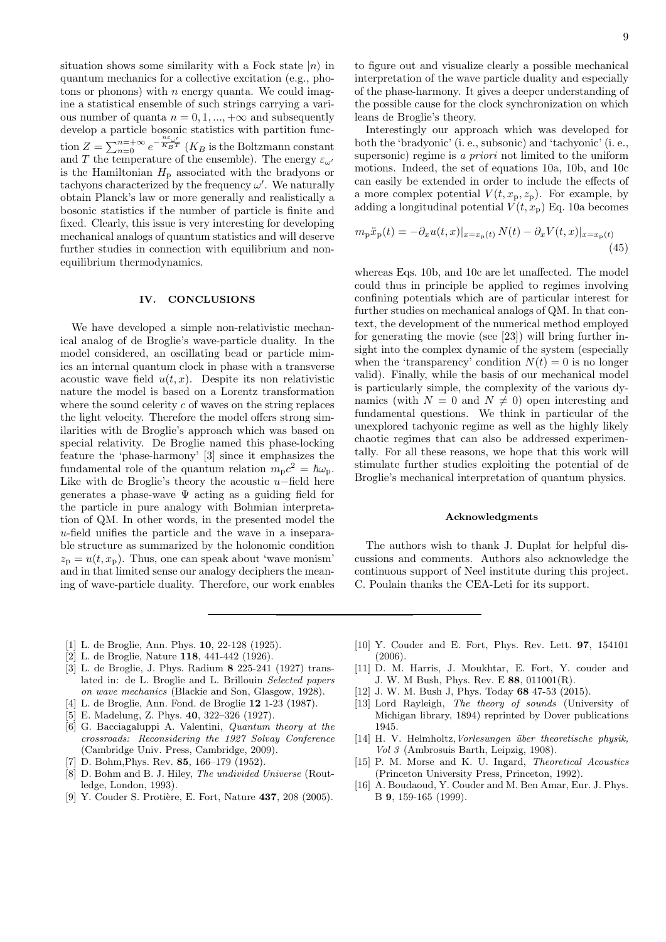situation shows some similarity with a Fock state  $|n\rangle$  in quantum mechanics for a collective excitation (e.g., photons or phonons) with  $n$  energy quanta. We could imagine a statistical ensemble of such strings carrying a various number of quanta  $n = 0, 1, ..., +\infty$  and subsequently develop a particle bosonic statistics with partition function  $Z = \sum_{n=0}^{n=+\infty} e^{-\frac{n\varepsilon_{\omega'}}{K_B T}}$  ( $K_B$  is the Boltzmann constant and T the temperature of the ensemble). The energy  $\varepsilon_{\omega'}$ is the Hamiltonian  $H<sub>p</sub>$  associated with the bradyons or tachyons characterized by the frequency  $\omega'$ . We naturally obtain Planck's law or more generally and realistically a bosonic statistics if the number of particle is finite and fixed. Clearly, this issue is very interesting for developing mechanical analogs of quantum statistics and will deserve further studies in connection with equilibrium and nonequilibrium thermodynamics.

# IV. CONCLUSIONS

We have developed a simple non-relativistic mechanical analog of de Broglie's wave-particle duality. In the model considered, an oscillating bead or particle mimics an internal quantum clock in phase with a transverse acoustic wave field  $u(t, x)$ . Despite its non relativistic nature the model is based on a Lorentz transformation where the sound celerity  $c$  of waves on the string replaces the light velocity. Therefore the model offers strong similarities with de Broglie's approach which was based on special relativity. De Broglie named this phase-locking feature the 'phase-harmony' [3] since it emphasizes the fundamental role of the quantum relation  $m_p c^2 = \hbar \omega_p$ . Like with de Broglie's theory the acoustic  $u$ -field here generates a phase-wave  $\Psi$  acting as a guiding field for the particle in pure analogy with Bohmian interpretation of QM. In other words, in the presented model the u-field unifies the particle and the wave in a inseparable structure as summarized by the holonomic condition  $z_p = u(t, x_p)$ . Thus, one can speak about 'wave monism' and in that limited sense our analogy deciphers the meaning of wave-particle duality. Therefore, our work enables

to figure out and visualize clearly a possible mechanical interpretation of the wave particle duality and especially of the phase-harmony. It gives a deeper understanding of the possible cause for the clock synchronization on which leans de Broglie's theory.

Interestingly our approach which was developed for both the 'bradyonic' (i. e., subsonic) and 'tachyonic' (i. e., supersonic) regime is a *priori* not limited to the uniform motions. Indeed, the set of equations 10a, 10b, and 10c can easily be extended in order to include the effects of a more complex potential  $V(t, x_p, z_p)$ . For example, by adding a longitudinal potential  $V(t, x_p)$  Eq. 10a becomes

$$
m_{\rm p}\ddot{x}_{\rm p}(t) = -\partial_x u(t, x)|_{x = x_{\rm p}(t)} N(t) - \partial_x V(t, x)|_{x = x_{\rm p}(t)}
$$
\n(45)

whereas Eqs. 10b, and 10c are let unaffected. The model could thus in principle be applied to regimes involving confining potentials which are of particular interest for further studies on mechanical analogs of QM. In that context, the development of the numerical method employed for generating the movie (see [23]) will bring further insight into the complex dynamic of the system (especially when the 'transparency' condition  $N(t) = 0$  is no longer valid). Finally, while the basis of our mechanical model is particularly simple, the complexity of the various dynamics (with  $N = 0$  and  $N \neq 0$ ) open interesting and fundamental questions. We think in particular of the unexplored tachyonic regime as well as the highly likely chaotic regimes that can also be addressed experimentally. For all these reasons, we hope that this work will stimulate further studies exploiting the potential of de Broglie's mechanical interpretation of quantum physics.

#### Acknowledgments

The authors wish to thank J. Duplat for helpful discussions and comments. Authors also acknowledge the continuous support of Neel institute during this project. C. Poulain thanks the CEA-Leti for its support.

- [1] L. de Broglie, Ann. Phys. 10, 22-128 (1925).
- [2] L. de Broglie, Nature 118, 441-442 (1926).
- [3] L. de Broglie, J. Phys. Radium 8 225-241 (1927) translated in: de L. Broglie and L. Brillouin Selected papers on wave mechanics (Blackie and Son, Glasgow, 1928).
- L. de Broglie, Ann. Fond. de Broglie 12 1-23 (1987).
- [5] E. Madelung, Z. Phys. 40, 322–326 (1927).
- [6] G. Bacciagaluppi A. Valentini, Quantum theory at the crossroads: Reconsidering the 1927 Solvay Conference (Cambridge Univ. Press, Cambridge, 2009).
- [7] D. Bohm, Phys. Rev. **85**, 166–179 (1952).
- [8] D. Bohm and B. J. Hiley, *The undivided Universe* (Routledge, London, 1993).
- [9] Y. Couder S. Protière, E. Fort, Nature 437, 208 (2005).
- [10] Y. Couder and E. Fort, Phys. Rev. Lett. **97**, 154101 (2006).
- [11] D. M. Harris, J. Moukhtar, E. Fort, Y. couder and J. W. M Bush, Phys. Rev. E 88, 011001(R).
- [12] J. W. M. Bush J, Phys. Today 68 47-53 (2015).
- [13] Lord Rayleigh, The theory of sounds (University of Michigan library, 1894) reprinted by Dover publications 1945.
- [14] H. V. Helmholtz, Vorlesungen über theoretische physik, Vol 3 (Ambrosuis Barth, Leipzig, 1908).
- [15] P. M. Morse and K. U. Ingard, Theoretical Acoustics (Princeton University Press, Princeton, 1992).
- [16] A. Boudaoud, Y. Couder and M. Ben Amar, Eur. J. Phys. B 9, 159-165 (1999).